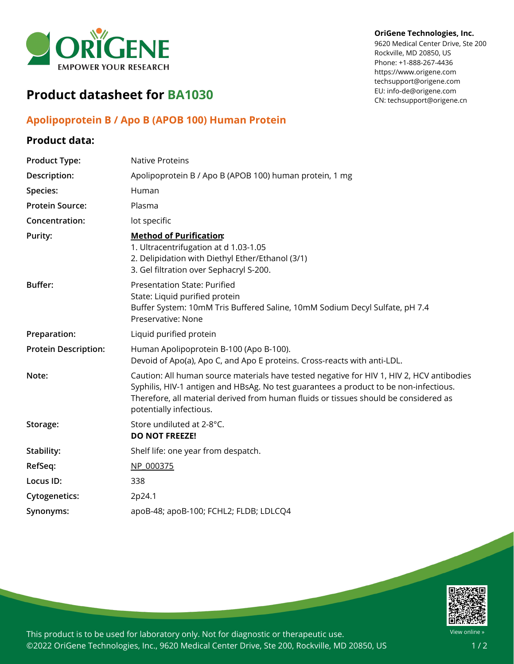

## **Product datasheet for BA1030**

## **Apolipoprotein B / Apo B (APOB 100) Human Protein**

## **Product data:**

## **OriGene Technologies, Inc.**

9620 Medical Center Drive, Ste 200 Rockville, MD 20850, US Phone: +1-888-267-4436 https://www.origene.com techsupport@origene.com EU: info-de@origene.com CN: techsupport@origene.cn

| <b>Product Type:</b>        | <b>Native Proteins</b>                                                                                                                                                                                                                                                                                |
|-----------------------------|-------------------------------------------------------------------------------------------------------------------------------------------------------------------------------------------------------------------------------------------------------------------------------------------------------|
| Description:                | Apolipoprotein B / Apo B (APOB 100) human protein, 1 mg                                                                                                                                                                                                                                               |
| Species:                    | Human                                                                                                                                                                                                                                                                                                 |
| <b>Protein Source:</b>      | Plasma                                                                                                                                                                                                                                                                                                |
| Concentration:              | lot specific                                                                                                                                                                                                                                                                                          |
| Purity:                     | <b>Method of Purification:</b><br>1. Ultracentrifugation at d 1.03-1.05<br>2. Delipidation with Diethyl Ether/Ethanol (3/1)<br>3. Gel filtration over Sephacryl S-200.                                                                                                                                |
| <b>Buffer:</b>              | <b>Presentation State: Purified</b><br>State: Liquid purified protein<br>Buffer System: 10mM Tris Buffered Saline, 10mM Sodium Decyl Sulfate, pH 7.4<br>Preservative: None                                                                                                                            |
| Preparation:                | Liquid purified protein                                                                                                                                                                                                                                                                               |
| <b>Protein Description:</b> | Human Apolipoprotein B-100 (Apo B-100).<br>Devoid of Apo(a), Apo C, and Apo E proteins. Cross-reacts with anti-LDL.                                                                                                                                                                                   |
| Note:                       | Caution: All human source materials have tested negative for HIV 1, HIV 2, HCV antibodies<br>Syphilis, HIV-1 antigen and HBsAg. No test guarantees a product to be non-infectious.<br>Therefore, all material derived from human fluids or tissues should be considered as<br>potentially infectious. |
| Storage:                    | Store undiluted at 2-8°C.<br><b>DO NOT FREEZE!</b>                                                                                                                                                                                                                                                    |
| Stability:                  | Shelf life: one year from despatch.                                                                                                                                                                                                                                                                   |
| RefSeq:                     | NP 000375                                                                                                                                                                                                                                                                                             |
| Locus ID:                   | 338                                                                                                                                                                                                                                                                                                   |
| <b>Cytogenetics:</b>        | 2p24.1                                                                                                                                                                                                                                                                                                |
| Synonyms:                   | apoB-48; apoB-100; FCHL2; FLDB; LDLCQ4                                                                                                                                                                                                                                                                |



This product is to be used for laboratory only. Not for diagnostic or therapeutic use. ©2022 OriGene Technologies, Inc., 9620 Medical Center Drive, Ste 200, Rockville, MD 20850, US